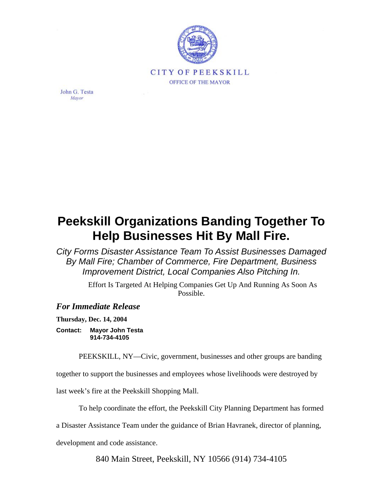

John G. Testa Mayor

## **Peekskill Organizations Banding Together To Help Businesses Hit By Mall Fire.**

*City Forms Disaster Assistance Team To Assist Businesses Damaged By Mall Fire; Chamber of Commerce, Fire Department, Business Improvement District, Local Companies Also Pitching In.*

> Effort Is Targeted At Helping Companies Get Up And Running As Soon As Possible.

## *For Immediate Release*

**Thursday, Dec. 14, 2004** 

**Contact: Mayor John Testa 914-734-4105** 

PEEKSKILL, NY—Civic, government, businesses and other groups are banding

together to support the businesses and employees whose livelihoods were destroyed by

last week's fire at the Peekskill Shopping Mall.

To help coordinate the effort, the Peekskill City Planning Department has formed

a Disaster Assistance Team under the guidance of Brian Havranek, director of planning,

development and code assistance.

840 Main Street, Peekskill, NY 10566 (914) 734-4105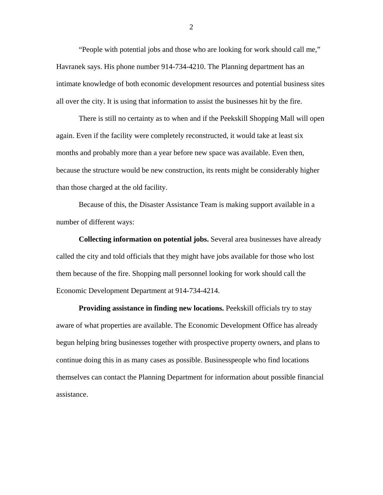"People with potential jobs and those who are looking for work should call me," Havranek says. His phone number 914-734-4210. The Planning department has an intimate knowledge of both economic development resources and potential business sites all over the city. It is using that information to assist the businesses hit by the fire.

There is still no certainty as to when and if the Peekskill Shopping Mall will open again. Even if the facility were completely reconstructed, it would take at least six months and probably more than a year before new space was available. Even then, because the structure would be new construction, its rents might be considerably higher than those charged at the old facility.

Because of this, the Disaster Assistance Team is making support available in a number of different ways:

**Collecting information on potential jobs.** Several area businesses have already called the city and told officials that they might have jobs available for those who lost them because of the fire. Shopping mall personnel looking for work should call the Economic Development Department at 914-734-4214.

**Providing assistance in finding new locations.** Peekskill officials try to stay aware of what properties are available. The Economic Development Office has already begun helping bring businesses together with prospective property owners, and plans to continue doing this in as many cases as possible. Businesspeople who find locations themselves can contact the Planning Department for information about possible financial assistance.

2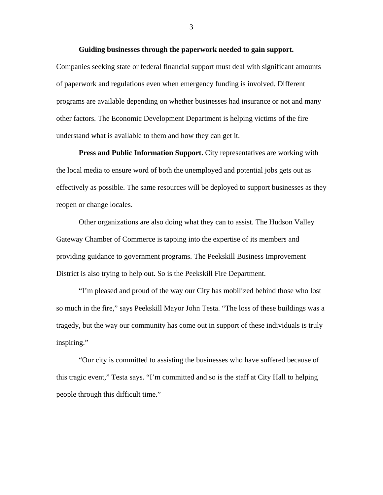Companies seeking state or federal financial support must deal with significant amounts of paperwork and regulations even when emergency funding is involved. Different programs are available depending on whether businesses had insurance or not and many other factors. The Economic Development Department is helping victims of the fire understand what is available to them and how they can get it.

**Press and Public Information Support.** City representatives are working with the local media to ensure word of both the unemployed and potential jobs gets out as effectively as possible. The same resources will be deployed to support businesses as they reopen or change locales.

Other organizations are also doing what they can to assist. The Hudson Valley Gateway Chamber of Commerce is tapping into the expertise of its members and providing guidance to government programs. The Peekskill Business Improvement District is also trying to help out. So is the Peekskill Fire Department.

"I'm pleased and proud of the way our City has mobilized behind those who lost so much in the fire," says Peekskill Mayor John Testa. "The loss of these buildings was a tragedy, but the way our community has come out in support of these individuals is truly inspiring."

"Our city is committed to assisting the businesses who have suffered because of this tragic event," Testa says. "I'm committed and so is the staff at City Hall to helping people through this difficult time."

3

**Guiding businesses through the paperwork needed to gain support.**